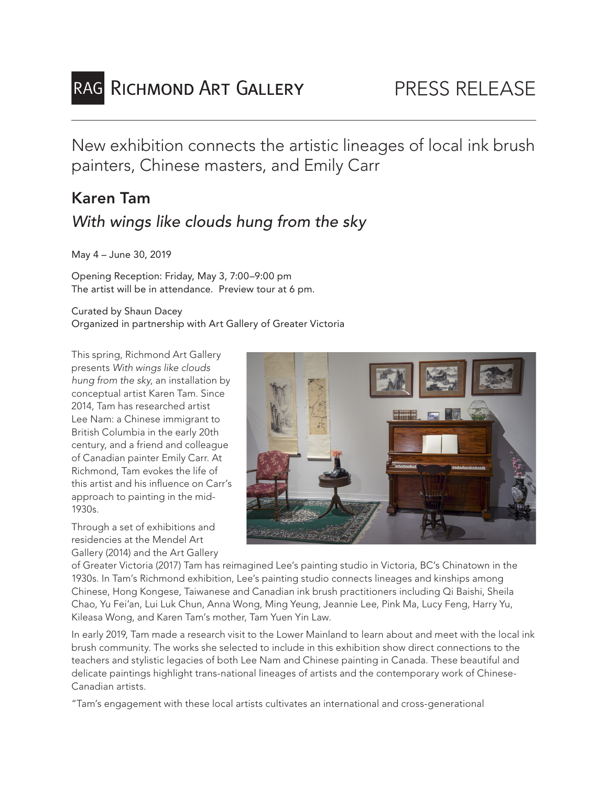

New exhibition connects the artistic lineages of local ink brush painters, Chinese masters, and Emily Carr

# Karen Tam *With wings like clouds hung from the sky*

May 4 – June 30, 2019

Opening Reception: Friday, May 3, 7:00–9:00 pm The artist will be in attendance. Preview tour at 6 pm.

#### Curated by Shaun Dacey Organized in partnership with Art Gallery of Greater Victoria

This spring, Richmond Art Gallery presents *With wings like clouds hung from the sky*, an installation by conceptual artist Karen Tam. Since 2014, Tam has researched artist Lee Nam: a Chinese immigrant to British Columbia in the early 20th century, and a friend and colleague of Canadian painter Emily Carr. At Richmond, Tam evokes the life of this artist and his influence on Carr's approach to painting in the mid-1930s.

Through a set of exhibitions and residencies at the Mendel Art Gallery (2014) and the Art Gallery



of Greater Victoria (2017) Tam has reimagined Lee's painting studio in Victoria, BC's Chinatown in the 1930s. In Tam's Richmond exhibition, Lee's painting studio connects lineages and kinships among Chinese, Hong Kongese, Taiwanese and Canadian ink brush practitioners including Qi Baishi, Sheila Chao, Yu Fei'an, Lui Luk Chun, Anna Wong, Ming Yeung, Jeannie Lee, Pink Ma, Lucy Feng, Harry Yu, Kileasa Wong, and Karen Tam's mother, Tam Yuen Yin Law.

In early 2019, Tam made a research visit to the Lower Mainland to learn about and meet with the local ink brush community. The works she selected to include in this exhibition show direct connections to the teachers and stylistic legacies of both Lee Nam and Chinese painting in Canada. These beautiful and delicate paintings highlight trans-national lineages of artists and the contemporary work of Chinese-Canadian artists.

"Tam's engagement with these local artists cultivates an international and cross-generational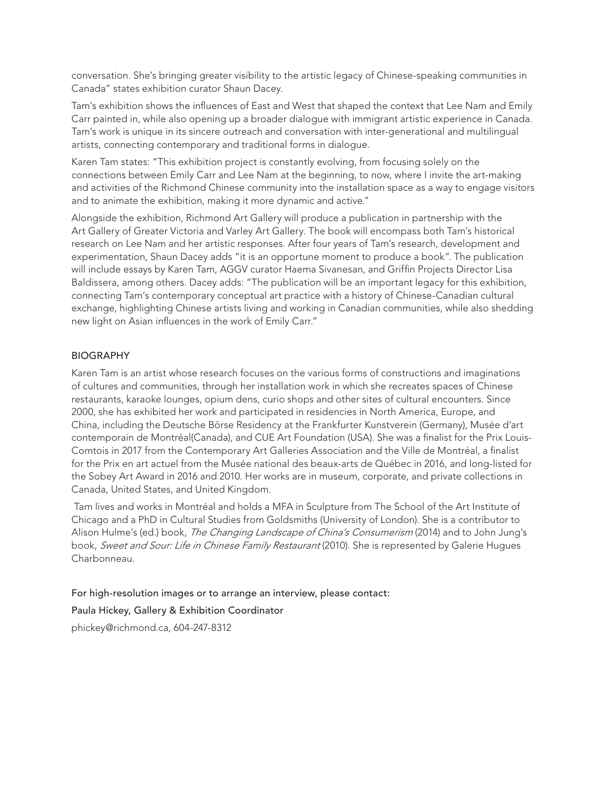conversation. She's bringing greater visibility to the artistic legacy of Chinese-speaking communities in Canada" states exhibition curator Shaun Dacey.

Tam's exhibition shows the influences of East and West that shaped the context that Lee Nam and Emily Carr painted in, while also opening up a broader dialogue with immigrant artistic experience in Canada. Tam's work is unique in its sincere outreach and conversation with inter-generational and multilingual artists, connecting contemporary and traditional forms in dialogue.

Karen Tam states: "This exhibition project is constantly evolving, from focusing solely on the connections between Emily Carr and Lee Nam at the beginning, to now, where I invite the art-making and activities of the Richmond Chinese community into the installation space as a way to engage visitors and to animate the exhibition, making it more dynamic and active."

Alongside the exhibition, Richmond Art Gallery will produce a publication in partnership with the Art Gallery of Greater Victoria and Varley Art Gallery. The book will encompass both Tam's historical research on Lee Nam and her artistic responses. After four years of Tam's research, development and experimentation, Shaun Dacey adds "it is an opportune moment to produce a book". The publication will include essays by Karen Tam, AGGV curator Haema Sivanesan, and Griffin Projects Director Lisa Baldissera, among others. Dacey adds: "The publication will be an important legacy for this exhibition, connecting Tam's contemporary conceptual art practice with a history of Chinese-Canadian cultural exchange, highlighting Chinese artists living and working in Canadian communities, while also shedding new light on Asian influences in the work of Emily Carr."

#### BIOGRAPHY

Karen Tam is an artist whose research focuses on the various forms of constructions and imaginations of cultures and communities, through her installation work in which she recreates spaces of Chinese restaurants, karaoke lounges, opium dens, curio shops and other sites of cultural encounters. Since 2000, she has exhibited her work and participated in residencies in North America, Europe, and China, including the Deutsche Börse Residency at the Frankfurter Kunstverein (Germany), Musée d'art contemporain de Montréal(Canada), and CUE Art Foundation (USA). She was a finalist for the Prix Louis-Comtois in 2017 from the Contemporary Art Galleries Association and the Ville de Montréal, a finalist for the Prix en art actuel from the Musée national des beaux-arts de Québec in 2016, and long-listed for the Sobey Art Award in 2016 and 2010. Her works are in museum, corporate, and private collections in Canada, United States, and United Kingdom.

 Tam lives and works in Montréal and holds a MFA in Sculpture from The School of the Art Institute of Chicago and a PhD in Cultural Studies from Goldsmiths (University of London). She is a contributor to Alison Hulme's (ed.) book, *The Changing Landscape of China's Consumerism* (2014) and to John Jung's book, *Sweet and Sour: Life in Chinese Family Restaurant* (2010). She is represented by Galerie Hugues Charbonneau.

For high-resolution images or to arrange an interview, please contact:

Paula Hickey, Gallery & Exhibition Coordinator

phickey@richmond.ca, 604-247-8312